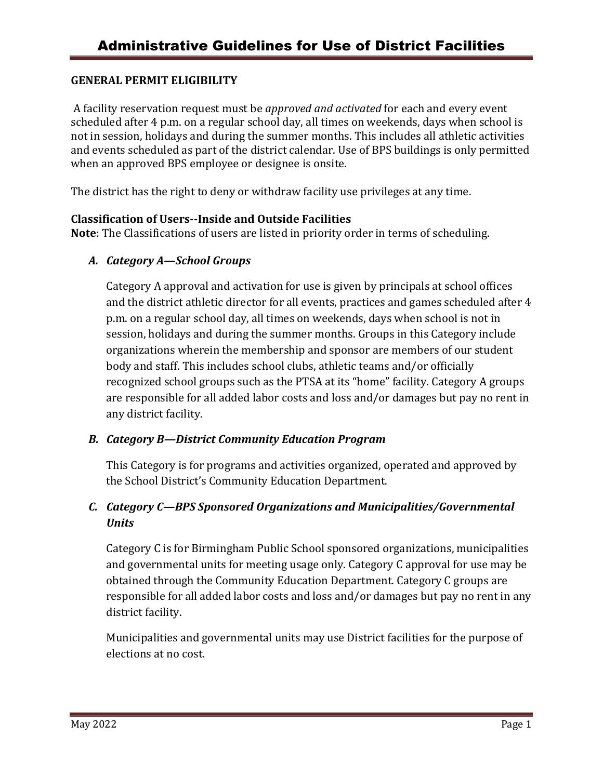## **GENERAL PERMIT ELIGIBILITY**

A facility reservation request must be *approved and activated* for each and every event scheduled after 4 p.m. on a regular school day, all times on weekends, days when school is not in session, holidays and during the summer months. This includes all athletic activities and events scheduled as part of the district calendar. Use of BPS buildings is only permitted when an approved BPS employee or designee is onsite.

The district has the right to deny or withdraw facility use privileges at any time.

## **Classification of Users--Inside and Outside Facilities**

**Note**: The Classifications of users are listed in priority order in terms of scheduling.

## *A. Category A—School Groups*

Category A approval and activation for use is given by principals at school offices and the district athletic director for all events, practices and games scheduled after 4 p.m. on a regular school day, all times on weekends, days when school is not in session, holidays and during the summer months. Groups in this Category include organizations wherein the membership and sponsor are members of our student body and staff. This includes school clubs, athletic teams and/or officially recognized school groups such as the PTSA at its "home" facility. Category A groups are responsible for all added labor costs and loss and/or damages but pay no rent in any district facility.

### *B. Category B—District Community Education Program*

This Category is for programs and activities organized, operated and approved by the School District's Community Education Department.

# *C. Category C—BPS Sponsored Organizations and Municipalities/Governmental Units*

Category C is for Birmingham Public School sponsored organizations, municipalities and governmental units for meeting usage only. Category C approval for use may be obtained through the Community Education Department. Category C groups are responsible for all added labor costs and loss and/or damages but pay no rent in any district facility.

Municipalities and governmental units may use District facilities for the purpose of elections at no cost.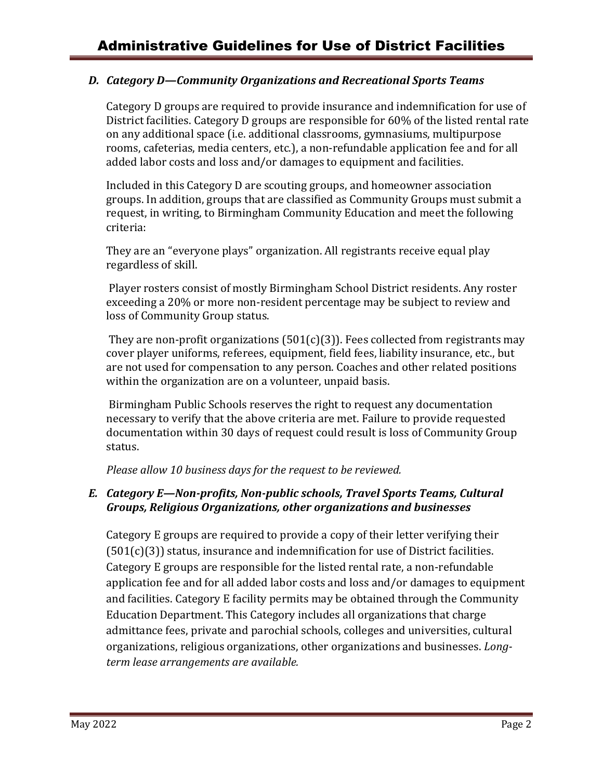## *D. Category D—Community Organizations and Recreational Sports Teams*

Category D groups are required to provide insurance and indemnification for use of District facilities. Category D groups are responsible for 60% of the listed rental rate on any additional space (i.e. additional classrooms, gymnasiums, multipurpose rooms, cafeterias, media centers, etc.), a non-refundable application fee and for all added labor costs and loss and/or damages to equipment and facilities.

Included in this Category D are scouting groups, and homeowner association groups. In addition, groups that are classified as Community Groups must submit a request, in writing, to Birmingham Community Education and meet the following criteria:

They are an "everyone plays" organization. All registrants receive equal play regardless of skill.

Player rosters consist of mostly Birmingham School District residents. Any roster exceeding a 20% or more non-resident percentage may be subject to review and loss of Community Group status.

They are non-profit organizations  $(501(c)(3))$ . Fees collected from registrants may cover player uniforms, referees, equipment, field fees, liability insurance, etc., but are not used for compensation to any person. Coaches and other related positions within the organization are on a volunteer, unpaid basis.

Birmingham Public Schools reserves the right to request any documentation necessary to verify that the above criteria are met. Failure to provide requested documentation within 30 days of request could result is loss of Community Group status.

*Please allow 10 business days for the request to be reviewed.*

## *E. Category E—Non-profits, Non-public schools, Travel Sports Teams, Cultural Groups, Religious Organizations, other organizations and businesses*

Category E groups are required to provide a copy of their letter verifying their  $(501(c)(3))$  status, insurance and indemnification for use of District facilities. Category E groups are responsible for the listed rental rate, a non-refundable application fee and for all added labor costs and loss and/or damages to equipment and facilities. Category E facility permits may be obtained through the Community Education Department. This Category includes all organizations that charge admittance fees, private and parochial schools, colleges and universities, cultural organizations, religious organizations, other organizations and businesses. *Longterm lease arrangements are available.*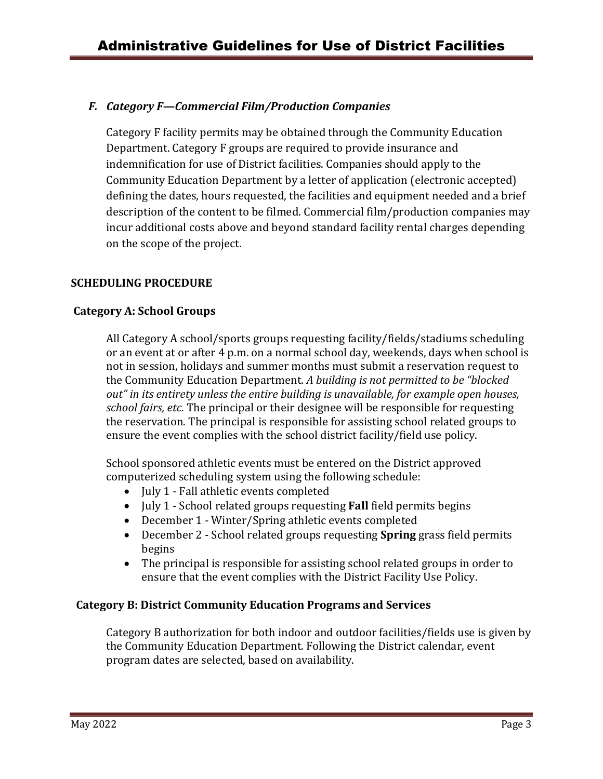## *F. Category F—Commercial Film/Production Companies*

Category F facility permits may be obtained through the Community Education Department. Category F groups are required to provide insurance and indemnification for use of District facilities. Companies should apply to the Community Education Department by a letter of application (electronic accepted) defining the dates, hours requested, the facilities and equipment needed and a brief description of the content to be filmed. Commercial film/production companies may incur additional costs above and beyond standard facility rental charges depending on the scope of the project.

### **SCHEDULING PROCEDURE**

### **Category A: School Groups**

All Category A school/sports groups requesting facility/fields/stadiums scheduling or an event at or after 4 p.m. on a normal school day, weekends, days when school is not in session, holidays and summer months must submit a reservation request to the Community Education Department. *A building is not permitted to be "blocked out" in its entirety unless the entire building is unavailable, for example open houses, school fairs, etc.* The principal or their designee will be responsible for requesting the reservation. The principal is responsible for assisting school related groups to ensure the event complies with the school district facility/field use policy.

School sponsored athletic events must be entered on the District approved computerized scheduling system using the following schedule:

- July 1 Fall athletic events completed
- July 1 School related groups requesting **Fall** field permits begins
- December 1 Winter/Spring athletic events completed
- December 2 School related groups requesting **Spring** grass field permits begins
- The principal is responsible for assisting school related groups in order to ensure that the event complies with the District Facility Use Policy.

### **Category B: District Community Education Programs and Services**

Category B authorization for both indoor and outdoor facilities/fields use is given by the Community Education Department. Following the District calendar, event program dates are selected, based on availability.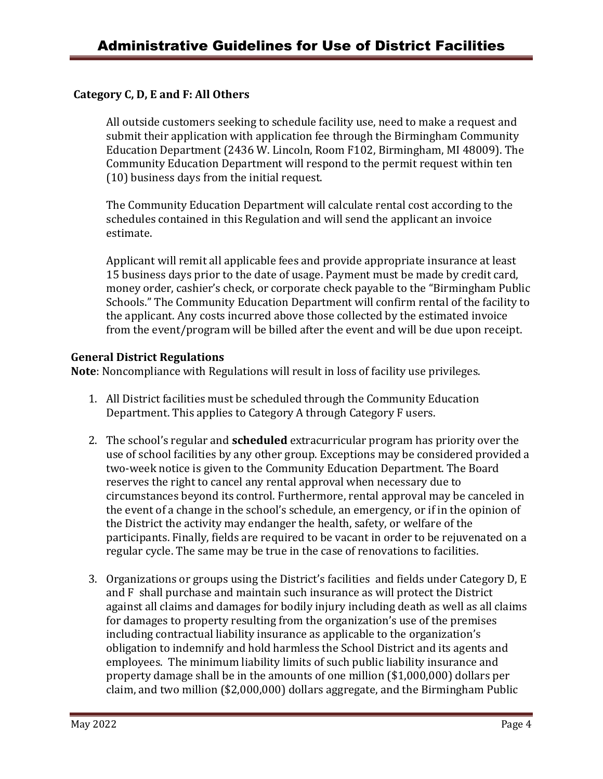### **Category C, D, E and F: All Others**

All outside customers seeking to schedule facility use, need to make a request and submit their application with application fee through the Birmingham Community Education Department (2436 W. Lincoln, Room F102, Birmingham, MI 48009). The Community Education Department will respond to the permit request within ten (10) business days from the initial request.

The Community Education Department will calculate rental cost according to the schedules contained in this Regulation and will send the applicant an invoice estimate.

Applicant will remit all applicable fees and provide appropriate insurance at least 15 business days prior to the date of usage. Payment must be made by credit card, money order, cashier's check, or corporate check payable to the "Birmingham Public Schools." The Community Education Department will confirm rental of the facility to the applicant. Any costs incurred above those collected by the estimated invoice from the event/program will be billed after the event and will be due upon receipt.

### **General District Regulations**

**Note**: Noncompliance with Regulations will result in loss of facility use privileges.

- 1. All District facilities must be scheduled through the Community Education Department. This applies to Category A through Category F users.
- 2. The school's regular and **scheduled** extracurricular program has priority over the use of school facilities by any other group. Exceptions may be considered provided a two-week notice is given to the Community Education Department. The Board reserves the right to cancel any rental approval when necessary due to circumstances beyond its control. Furthermore, rental approval may be canceled in the event of a change in the school's schedule, an emergency, or if in the opinion of the District the activity may endanger the health, safety, or welfare of the participants. Finally, fields are required to be vacant in order to be rejuvenated on a regular cycle. The same may be true in the case of renovations to facilities.
- 3. Organizations or groups using the District's facilities and fields under Category D, E and F shall purchase and maintain such insurance as will protect the District against all claims and damages for bodily injury including death as well as all claims for damages to property resulting from the organization's use of the premises including contractual liability insurance as applicable to the organization's obligation to indemnify and hold harmless the School District and its agents and employees. The minimum liability limits of such public liability insurance and property damage shall be in the amounts of one million (\$1,000,000) dollars per claim, and two million (\$2,000,000) dollars aggregate, and the Birmingham Public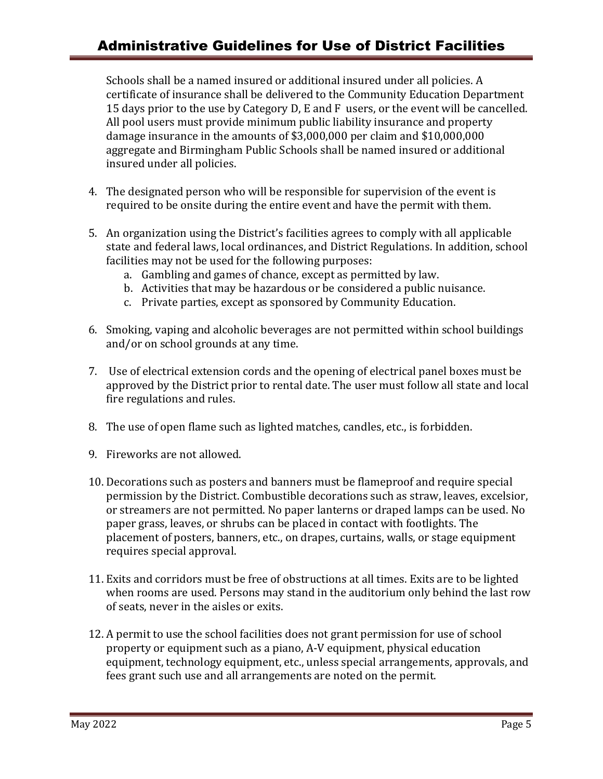# Administrative Guidelines for Use of District Facilities

Schools shall be a named insured or additional insured under all policies. A certificate of insurance shall be delivered to the Community Education Department 15 days prior to the use by Category D, E and F users, or the event will be cancelled. All pool users must provide minimum public liability insurance and property damage insurance in the amounts of \$3,000,000 per claim and \$10,000,000 aggregate and Birmingham Public Schools shall be named insured or additional insured under all policies.

- 4. The designated person who will be responsible for supervision of the event is required to be onsite during the entire event and have the permit with them.
- 5. An organization using the District's facilities agrees to comply with all applicable state and federal laws, local ordinances, and District Regulations. In addition, school facilities may not be used for the following purposes:
	- a. Gambling and games of chance, except as permitted by law.
	- b. Activities that may be hazardous or be considered a public nuisance.
	- c. Private parties, except as sponsored by Community Education.
- 6. Smoking, vaping and alcoholic beverages are not permitted within school buildings and/or on school grounds at any time.
- 7. Use of electrical extension cords and the opening of electrical panel boxes must be approved by the District prior to rental date. The user must follow all state and local fire regulations and rules.
- 8. The use of open flame such as lighted matches, candles, etc., is forbidden.
- 9. Fireworks are not allowed.
- 10. Decorations such as posters and banners must be flameproof and require special permission by the District. Combustible decorations such as straw, leaves, excelsior, or streamers are not permitted. No paper lanterns or draped lamps can be used. No paper grass, leaves, or shrubs can be placed in contact with footlights. The placement of posters, banners, etc., on drapes, curtains, walls, or stage equipment requires special approval.
- 11. Exits and corridors must be free of obstructions at all times. Exits are to be lighted when rooms are used. Persons may stand in the auditorium only behind the last row of seats, never in the aisles or exits.
- 12. A permit to use the school facilities does not grant permission for use of school property or equipment such as a piano, A-V equipment, physical education equipment, technology equipment, etc., unless special arrangements, approvals, and fees grant such use and all arrangements are noted on the permit.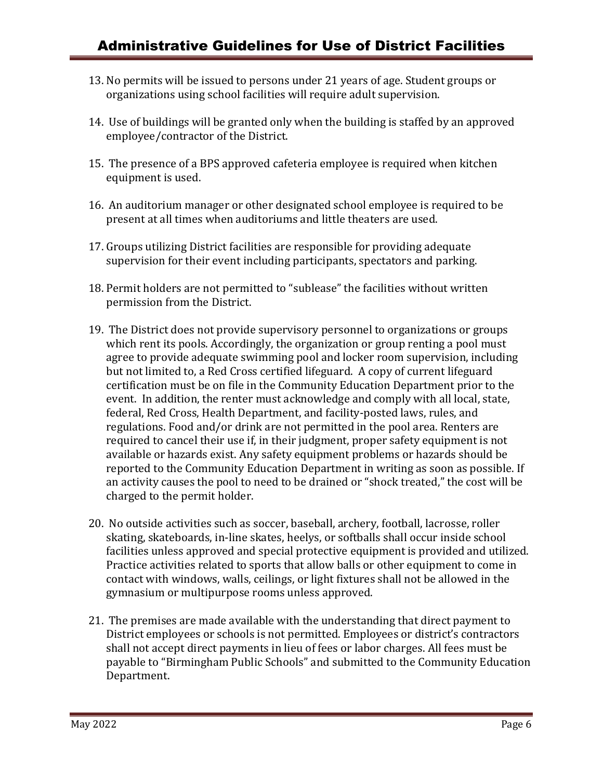- 13. No permits will be issued to persons under 21 years of age. Student groups or organizations using school facilities will require adult supervision.
- 14. Use of buildings will be granted only when the building is staffed by an approved employee/contractor of the District.
- 15. The presence of a BPS approved cafeteria employee is required when kitchen equipment is used.
- 16. An auditorium manager or other designated school employee is required to be present at all times when auditoriums and little theaters are used.
- 17. Groups utilizing District facilities are responsible for providing adequate supervision for their event including participants, spectators and parking.
- 18. Permit holders are not permitted to "sublease" the facilities without written permission from the District.
- 19. The District does not provide supervisory personnel to organizations or groups which rent its pools. Accordingly, the organization or group renting a pool must agree to provide adequate swimming pool and locker room supervision, including but not limited to, a Red Cross certified lifeguard. A copy of current lifeguard certification must be on file in the Community Education Department prior to the event. In addition, the renter must acknowledge and comply with all local, state, federal, Red Cross, Health Department, and facility-posted laws, rules, and regulations. Food and/or drink are not permitted in the pool area. Renters are required to cancel their use if, in their judgment, proper safety equipment is not available or hazards exist. Any safety equipment problems or hazards should be reported to the Community Education Department in writing as soon as possible. If an activity causes the pool to need to be drained or "shock treated," the cost will be charged to the permit holder.
- 20. No outside activities such as soccer, baseball, archery, football, lacrosse, roller skating, skateboards, in-line skates, heelys, or softballs shall occur inside school facilities unless approved and special protective equipment is provided and utilized. Practice activities related to sports that allow balls or other equipment to come in contact with windows, walls, ceilings, or light fixtures shall not be allowed in the gymnasium or multipurpose rooms unless approved.
- 21. The premises are made available with the understanding that direct payment to District employees or schools is not permitted. Employees or district's contractors shall not accept direct payments in lieu of fees or labor charges. All fees must be payable to "Birmingham Public Schools" and submitted to the Community Education Department.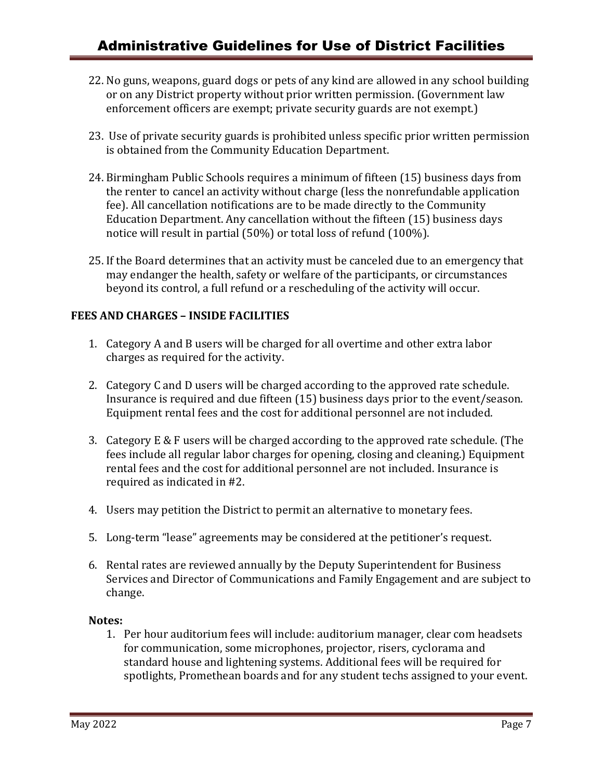- 22. No guns, weapons, guard dogs or pets of any kind are allowed in any school building or on any District property without prior written permission. (Government law enforcement officers are exempt; private security guards are not exempt.)
- 23. Use of private security guards is prohibited unless specific prior written permission is obtained from the Community Education Department.
- 24. Birmingham Public Schools requires a minimum of fifteen (15) business days from the renter to cancel an activity without charge (less the nonrefundable application fee). All cancellation notifications are to be made directly to the Community Education Department. Any cancellation without the fifteen (15) business days notice will result in partial (50%) or total loss of refund (100%).
- 25. If the Board determines that an activity must be canceled due to an emergency that may endanger the health, safety or welfare of the participants, or circumstances beyond its control, a full refund or a rescheduling of the activity will occur.

## **FEES AND CHARGES – INSIDE FACILITIES**

- 1. Category A and B users will be charged for all overtime and other extra labor charges as required for the activity.
- 2. Category C and D users will be charged according to the approved rate schedule. Insurance is required and due fifteen (15) business days prior to the event/season. Equipment rental fees and the cost for additional personnel are not included.
- 3. Category E & F users will be charged according to the approved rate schedule. (The fees include all regular labor charges for opening, closing and cleaning.) Equipment rental fees and the cost for additional personnel are not included. Insurance is required as indicated in #2.
- 4. Users may petition the District to permit an alternative to monetary fees.
- 5. Long-term "lease" agreements may be considered at the petitioner's request.
- 6. Rental rates are reviewed annually by the Deputy Superintendent for Business Services and Director of Communications and Family Engagement and are subject to change.

### **Notes:**

1. Per hour auditorium fees will include: auditorium manager, clear com headsets for communication, some microphones, projector, risers, cyclorama and standard house and lightening systems. Additional fees will be required for spotlights, Promethean boards and for any student techs assigned to your event.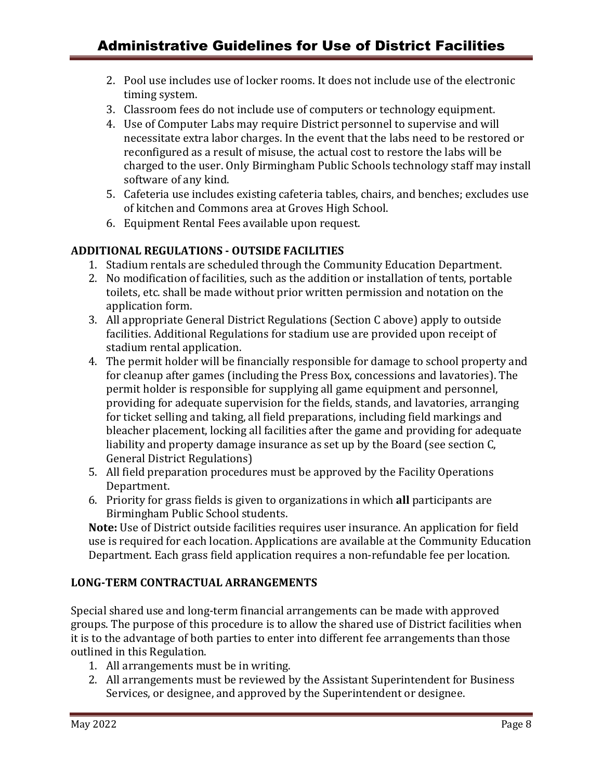- 2. Pool use includes use of locker rooms. It does not include use of the electronic timing system.
- 3. Classroom fees do not include use of computers or technology equipment.
- 4. Use of Computer Labs may require District personnel to supervise and will necessitate extra labor charges. In the event that the labs need to be restored or reconfigured as a result of misuse, the actual cost to restore the labs will be charged to the user. Only Birmingham Public Schools technology staff may install software of any kind.
- 5. Cafeteria use includes existing cafeteria tables, chairs, and benches; excludes use of kitchen and Commons area at Groves High School.
- 6. Equipment Rental Fees available upon request.

## **ADDITIONAL REGULATIONS - OUTSIDE FACILITIES**

- 1. Stadium rentals are scheduled through the Community Education Department.
- 2. No modification of facilities, such as the addition or installation of tents, portable toilets, etc. shall be made without prior written permission and notation on the application form.
- 3. All appropriate General District Regulations (Section C above) apply to outside facilities. Additional Regulations for stadium use are provided upon receipt of stadium rental application.
- 4. The permit holder will be financially responsible for damage to school property and for cleanup after games (including the Press Box, concessions and lavatories). The permit holder is responsible for supplying all game equipment and personnel, providing for adequate supervision for the fields, stands, and lavatories, arranging for ticket selling and taking, all field preparations, including field markings and bleacher placement, locking all facilities after the game and providing for adequate liability and property damage insurance as set up by the Board (see section C, General District Regulations)
- 5. All field preparation procedures must be approved by the Facility Operations Department.
- 6. Priority for grass fields is given to organizations in which **all** participants are Birmingham Public School students.

**Note:** Use of District outside facilities requires user insurance. An application for field use is required for each location. Applications are available at the Community Education Department. Each grass field application requires a non-refundable fee per location.

### **LONG-TERM CONTRACTUAL ARRANGEMENTS**

Special shared use and long-term financial arrangements can be made with approved groups. The purpose of this procedure is to allow the shared use of District facilities when it is to the advantage of both parties to enter into different fee arrangements than those outlined in this Regulation.

- 1. All arrangements must be in writing.
- 2. All arrangements must be reviewed by the Assistant Superintendent for Business Services, or designee, and approved by the Superintendent or designee.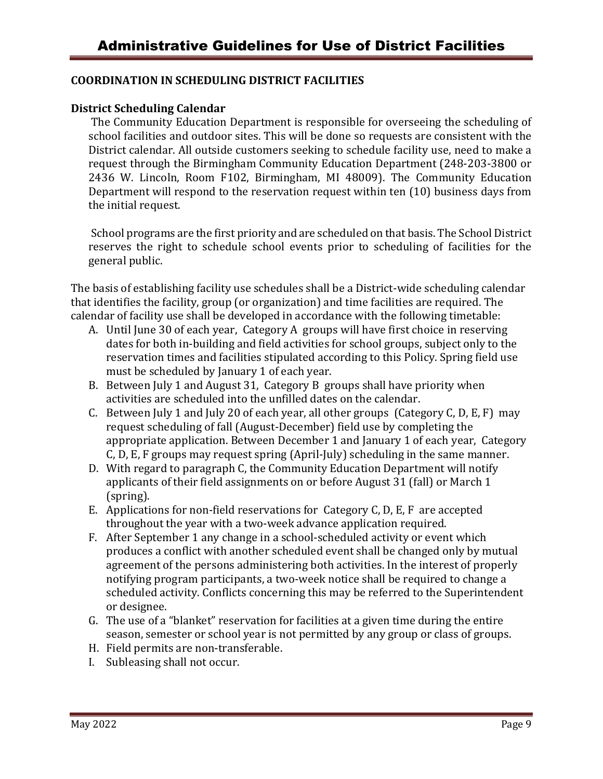### **COORDINATION IN SCHEDULING DISTRICT FACILITIES**

### **District Scheduling Calendar**

The Community Education Department is responsible for overseeing the scheduling of school facilities and outdoor sites. This will be done so requests are consistent with the District calendar. All outside customers seeking to schedule facility use, need to make a request through the Birmingham Community Education Department (248-203-3800 or 2436 W. Lincoln, Room F102, Birmingham, MI 48009). The Community Education Department will respond to the reservation request within ten (10) business days from the initial request.

School programs are the first priority and are scheduled on that basis. The School District reserves the right to schedule school events prior to scheduling of facilities for the general public.

The basis of establishing facility use schedules shall be a District-wide scheduling calendar that identifies the facility, group (or organization) and time facilities are required. The calendar of facility use shall be developed in accordance with the following timetable:

- A. Until June 30 of each year, Category A groups will have first choice in reserving dates for both in-building and field activities for school groups, subject only to the reservation times and facilities stipulated according to this Policy. Spring field use must be scheduled by January 1 of each year.
- B. Between July 1 and August 31, Category B groups shall have priority when activities are scheduled into the unfilled dates on the calendar.
- C. Between July 1 and July 20 of each year, all other groups (Category C, D, E, F) may request scheduling of fall (August-December) field use by completing the appropriate application. Between December 1 and January 1 of each year, Category C, D, E, F groups may request spring (April-July) scheduling in the same manner.
- D. With regard to paragraph C, the Community Education Department will notify applicants of their field assignments on or before August 31 (fall) or March 1 (spring).
- E. Applications for non-field reservations for Category C, D, E, F are accepted throughout the year with a two-week advance application required.
- F. After September 1 any change in a school-scheduled activity or event which produces a conflict with another scheduled event shall be changed only by mutual agreement of the persons administering both activities. In the interest of properly notifying program participants, a two-week notice shall be required to change a scheduled activity. Conflicts concerning this may be referred to the Superintendent or designee.
- G. The use of a "blanket" reservation for facilities at a given time during the entire season, semester or school year is not permitted by any group or class of groups.
- H. Field permits are non-transferable.
- I. Subleasing shall not occur.